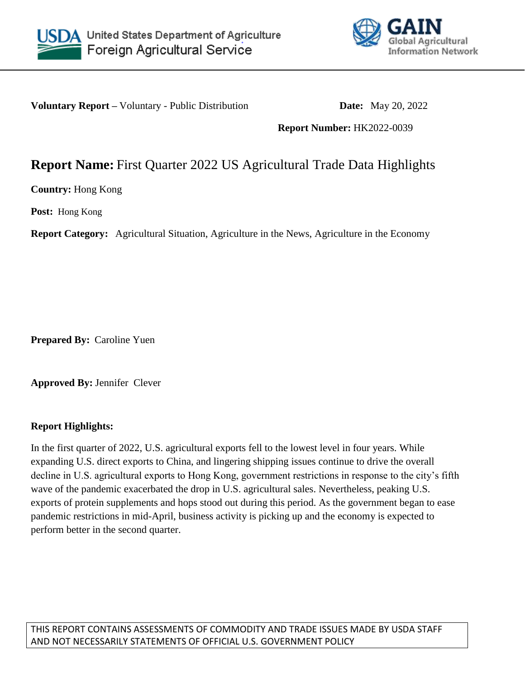



**Voluntary Report –** Voluntary - Public Distribution **Date:** May 20, 2022

**Report Number:** HK2022-0039

## **Report Name:** First Quarter 2022 US Agricultural Trade Data Highlights

**Country:** Hong Kong

**Post:** Hong Kong

**Report Category:** Agricultural Situation, Agriculture in the News, Agriculture in the Economy

**Prepared By:** Caroline Yuen

**Approved By:** Jennifer Clever

## **Report Highlights:**

In the first quarter of 2022, U.S. agricultural exports fell to the lowest level in four years. While expanding U.S. direct exports to China, and lingering shipping issues continue to drive the overall decline in U.S. agricultural exports to Hong Kong, government restrictions in response to the city's fifth wave of the pandemic exacerbated the drop in U.S. agricultural sales. Nevertheless, peaking U.S. exports of protein supplements and hops stood out during this period. As the government began to ease pandemic restrictions in mid-April, business activity is picking up and the economy is expected to perform better in the second quarter.

THIS REPORT CONTAINS ASSESSMENTS OF COMMODITY AND TRADE ISSUES MADE BY USDA STAFF AND NOT NECESSARILY STATEMENTS OF OFFICIAL U.S. GOVERNMENT POLICY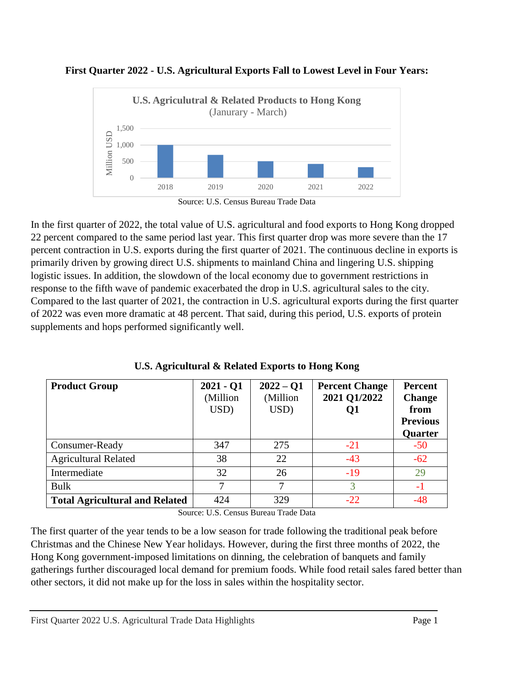



In the first quarter of 2022, the total value of U.S. agricultural and food exports to Hong Kong dropped 22 percent compared to the same period last year. This first quarter drop was more severe than the 17 percent contraction in U.S. exports during the first quarter of 2021. The continuous decline in exports is primarily driven by growing direct U.S. shipments to mainland China and lingering U.S. shipping logistic issues. In addition, the slowdown of the local economy due to government restrictions in response to the fifth wave of pandemic exacerbated the drop in U.S. agricultural sales to the city. Compared to the last quarter of 2021, the contraction in U.S. agricultural exports during the first quarter of 2022 was even more dramatic at 48 percent. That said, during this period, U.S. exports of protein supplements and hops performed significantly well.

| <b>Product Group</b>                  | $2021 - Q1$<br>(Million)<br>USD) | $2022 - Q1$<br>(Million)<br>USD) | <b>Percent Change</b><br>2021 Q1/2022<br>Q1 | <b>Percent</b><br><b>Change</b><br>from<br><b>Previous</b><br>Quarter |
|---------------------------------------|----------------------------------|----------------------------------|---------------------------------------------|-----------------------------------------------------------------------|
| Consumer-Ready                        | 347                              | 275                              | $-21$                                       | $-50$                                                                 |
| <b>Agricultural Related</b>           | 38                               | 22                               | $-43$                                       | $-62$                                                                 |
| Intermediate                          | 32                               | 26                               | $-19$                                       | 29                                                                    |
| <b>Bulk</b>                           | 7                                | 7                                | 3                                           | $-1$                                                                  |
| <b>Total Agricultural and Related</b> | 424                              | 329                              | $-22$                                       | $-48$                                                                 |

Source: U.S. Census Bureau Trade Data

The first quarter of the year tends to be a low season for trade following the traditional peak before Christmas and the Chinese New Year holidays. However, during the first three months of 2022, the Hong Kong government-imposed limitations on dinning, the celebration of banquets and family gatherings further discouraged local demand for premium foods. While food retail sales fared better than other sectors, it did not make up for the loss in sales within the hospitality sector.

Source: U.S. Census Bureau Trade Data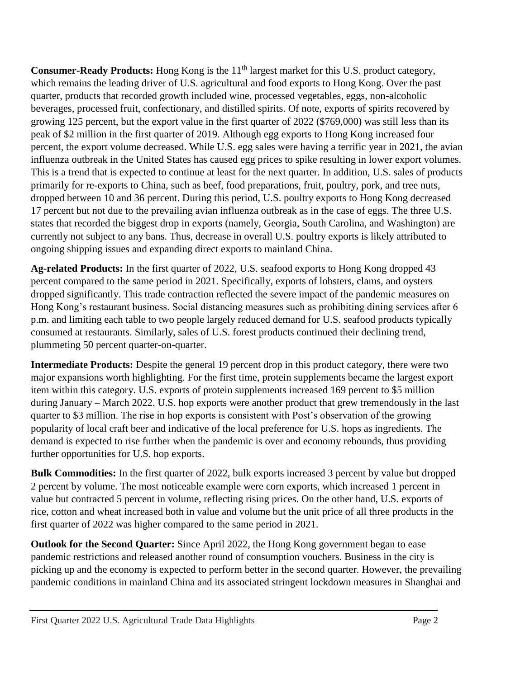**Consumer-Ready Products:** Hong Kong is the 11<sup>th</sup> largest market for this U.S. product category, which remains the leading driver of U.S. agricultural and food exports to Hong Kong. Over the past quarter, products that recorded growth included wine, processed vegetables, eggs, non-alcoholic beverages, processed fruit, confectionary, and distilled spirits. Of note, exports of spirits recovered by growing 125 percent, but the export value in the first quarter of 2022 (\$769,000) was still less than its peak of \$2 million in the first quarter of 2019. Although egg exports to Hong Kong increased four percent, the export volume decreased. While U.S. egg sales were having a terrific year in 2021, the avian influenza outbreak in the United States has caused egg prices to spike resulting in lower export volumes. This is a trend that is expected to continue at least for the next quarter. In addition, U.S. sales of products primarily for re-exports to China, such as beef, food preparations, fruit, poultry, pork, and tree nuts, dropped between 10 and 36 percent. During this period, U.S. poultry exports to Hong Kong decreased 17 percent but not due to the prevailing avian influenza outbreak as in the case of eggs. The three U.S. states that recorded the biggest drop in exports (namely, Georgia, South Carolina, and Washington) are currently not subject to any bans. Thus, decrease in overall U.S. poultry exports is likely attributed to ongoing shipping issues and expanding direct exports to mainland China.

**Ag-related Products:** In the first quarter of 2022, U.S. seafood exports to Hong Kong dropped 43 percent compared to the same period in 2021. Specifically, exports of lobsters, clams, and oysters dropped significantly. This trade contraction reflected the severe impact of the pandemic measures on Hong Kong's restaurant business. Social distancing measures such as prohibiting dining services after 6 p.m. and limiting each table to two people largely reduced demand for U.S. seafood products typically consumed at restaurants. Similarly, sales of U.S. forest products continued their declining trend, plummeting 50 percent quarter-on-quarter.

**Intermediate Products:** Despite the general 19 percent drop in this product category, there were two major expansions worth highlighting. For the first time, protein supplements became the largest export item within this category. U.S. exports of protein supplements increased 169 percent to \$5 million during January – March 2022. U.S. hop exports were another product that grew tremendously in the last quarter to \$3 million. The rise in hop exports is consistent with Post's observation of the growing popularity of local craft beer and indicative of the local preference for U.S. hops as ingredients. The demand is expected to rise further when the pandemic is over and economy rebounds, thus providing further opportunities for U.S. hop exports.

**Bulk Commodities:** In the first quarter of 2022, bulk exports increased 3 percent by value but dropped 2 percent by volume. The most noticeable example were corn exports, which increased 1 percent in value but contracted 5 percent in volume, reflecting rising prices. On the other hand, U.S. exports of rice, cotton and wheat increased both in value and volume but the unit price of all three products in the first quarter of 2022 was higher compared to the same period in 2021.

**Outlook for the Second Quarter:** Since April 2022, the Hong Kong government began to ease pandemic restrictions and released another round of consumption vouchers. Business in the city is picking up and the economy is expected to perform better in the second quarter. However, the prevailing pandemic conditions in mainland China and its associated stringent lockdown measures in Shanghai and